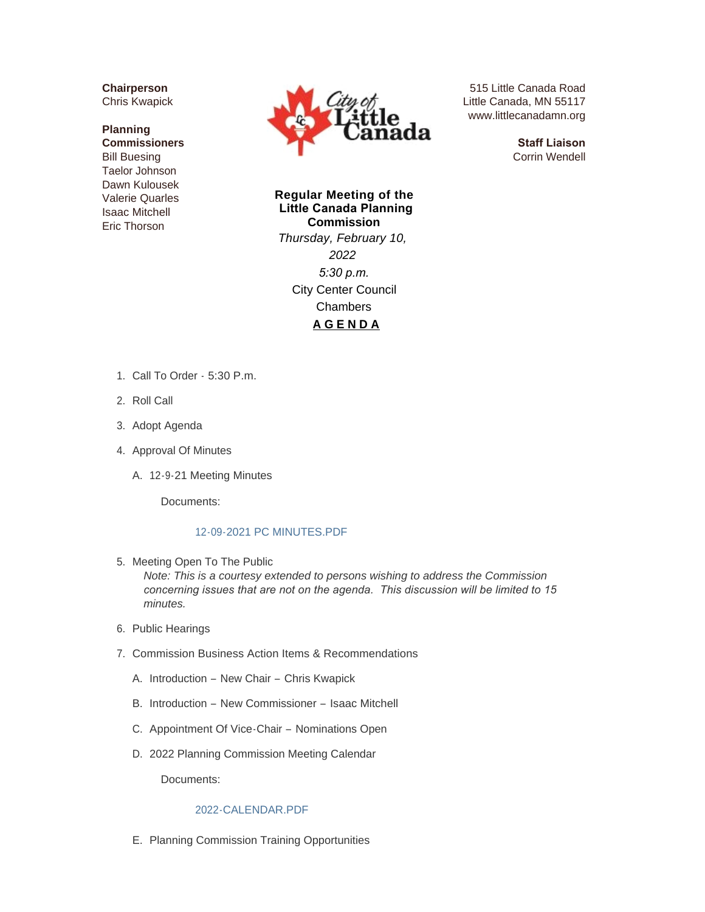**Chairperson** Chris Kwapick

#### **Planning Commissioners** Bill Buesing Taelor Johnson Dawn Kulousek Valerie Quarles Isaac Mitchell Eric Thorson



515 Little Canada Road Little Canada, MN 55117 www.littlecanadamn.org

> **Staff Liaison** Corrin Wendell

**Regular Meeting of the Little Canada Planning Commission** *Thursday, February 10, 2022 5:30 p.m.* City Center Council Chambers **A G E N D A**

- 1. Call To Order 5:30 P.m.
- 2. Roll Call
- 3. Adopt Agenda
- 4. Approval Of Minutes
	- A. 12-9-21 Meeting Minutes

Documents:

#### 12-09-2021 PC MINUTES.PDF

5. Meeting Open To The Public

*Note: This is a courtesy extended to persons wishing to address the Commission concerning issues that are not on the agenda. This discussion will be limited to 15 minutes.*

- 6. Public Hearings
- 7. Commission Business Action Items & Recommendations
	- A. Introduction New Chair Chris Kwapick
	- B. Introduction New Commissioner Isaac Mitchell
	- C. Appointment Of Vice-Chair Nominations Open
	- 2022 Planning Commission Meeting Calendar D.

Documents:

#### 2022-CALENDAR.PDF

E. Planning Commission Training Opportunities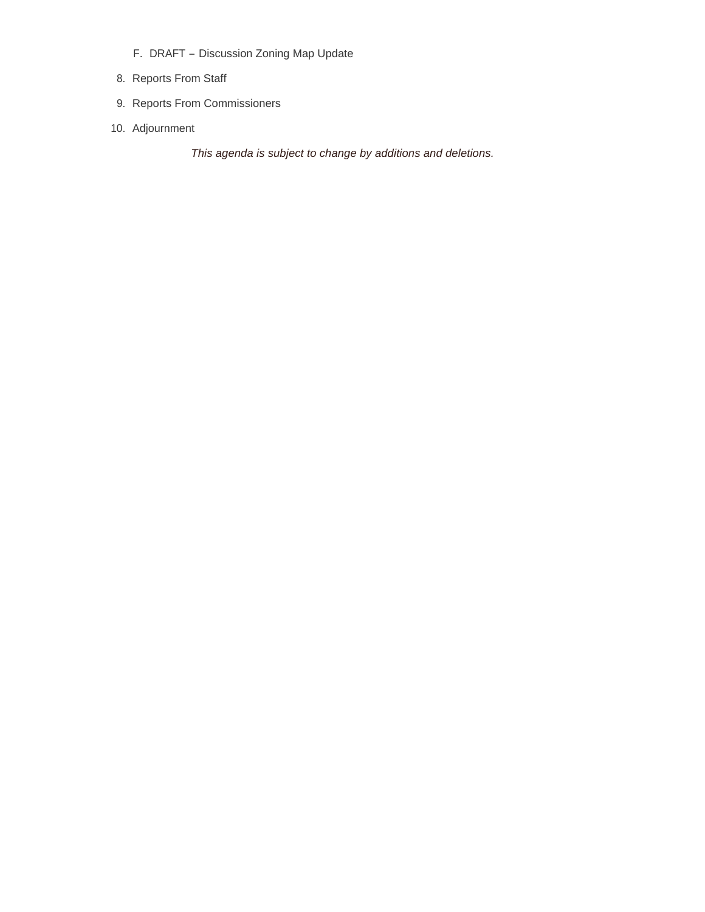- F. DRAFT Discussion Zoning Map Update
- 8. Reports From Staff
- 9. Reports From Commissioners
- 10. Adjournment

*This agenda is subject to change by additions and deletions.*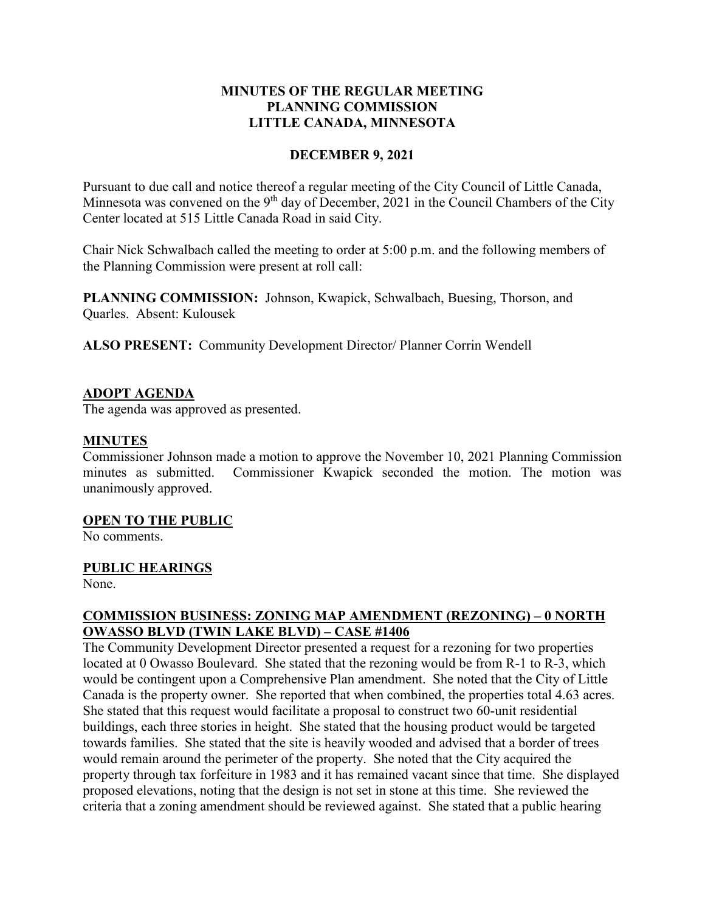# **MINUTES OF THE REGULAR MEETING PLANNING COMMISSION LITTLE CANADA, MINNESOTA**

#### **DECEMBER 9, 2021**

Pursuant to due call and notice thereof a regular meeting of the City Council of Little Canada, Minnesota was convened on the 9<sup>th</sup> day of December, 2021 in the Council Chambers of the City Center located at 515 Little Canada Road in said City.

Chair Nick Schwalbach called the meeting to order at 5:00 p.m. and the following members of the Planning Commission were present at roll call:

**PLANNING COMMISSION:** Johnson, Kwapick, Schwalbach, Buesing, Thorson, and Quarles. Absent: Kulousek

**ALSO PRESENT:** Community Development Director/ Planner Corrin Wendell

### **ADOPT AGENDA**

The agenda was approved as presented.

#### **MINUTES**

Commissioner Johnson made a motion to approve the November 10, 2021 Planning Commission minutes as submitted. Commissioner Kwapick seconded the motion. The motion was unanimously approved.

#### **OPEN TO THE PUBLIC**

No comments.

#### **PUBLIC HEARINGS**

None.

#### **COMMISSION BUSINESS: ZONING MAP AMENDMENT (REZONING) – 0 NORTH OWASSO BLVD (TWIN LAKE BLVD) – CASE #1406**

The Community Development Director presented a request for a rezoning for two properties located at 0 Owasso Boulevard. She stated that the rezoning would be from R-1 to R-3, which would be contingent upon a Comprehensive Plan amendment. She noted that the City of Little Canada is the property owner. She reported that when combined, the properties total 4.63 acres. She stated that this request would facilitate a proposal to construct two 60-unit residential buildings, each three stories in height. She stated that the housing product would be targeted towards families. She stated that the site is heavily wooded and advised that a border of trees would remain around the perimeter of the property. She noted that the City acquired the property through tax forfeiture in 1983 and it has remained vacant since that time. She displayed proposed elevations, noting that the design is not set in stone at this time. She reviewed the criteria that a zoning amendment should be reviewed against. She stated that a public hearing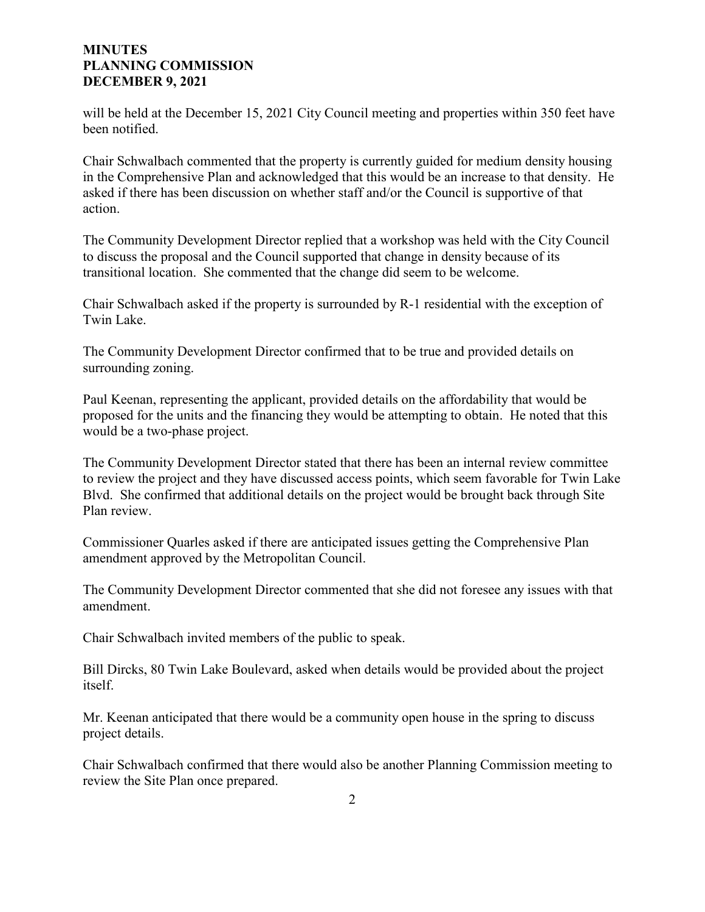#### **MINUTES PLANNING COMMISSION DECEMBER 9, 2021**

will be held at the December 15, 2021 City Council meeting and properties within 350 feet have been notified.

Chair Schwalbach commented that the property is currently guided for medium density housing in the Comprehensive Plan and acknowledged that this would be an increase to that density. He asked if there has been discussion on whether staff and/or the Council is supportive of that action.

The Community Development Director replied that a workshop was held with the City Council to discuss the proposal and the Council supported that change in density because of its transitional location. She commented that the change did seem to be welcome.

Chair Schwalbach asked if the property is surrounded by R-1 residential with the exception of Twin Lake.

The Community Development Director confirmed that to be true and provided details on surrounding zoning.

Paul Keenan, representing the applicant, provided details on the affordability that would be proposed for the units and the financing they would be attempting to obtain. He noted that this would be a two-phase project.

The Community Development Director stated that there has been an internal review committee to review the project and they have discussed access points, which seem favorable for Twin Lake Blvd. She confirmed that additional details on the project would be brought back through Site Plan review.

Commissioner Quarles asked if there are anticipated issues getting the Comprehensive Plan amendment approved by the Metropolitan Council.

The Community Development Director commented that she did not foresee any issues with that amendment.

Chair Schwalbach invited members of the public to speak.

Bill Dircks, 80 Twin Lake Boulevard, asked when details would be provided about the project itself.

Mr. Keenan anticipated that there would be a community open house in the spring to discuss project details.

Chair Schwalbach confirmed that there would also be another Planning Commission meeting to review the Site Plan once prepared.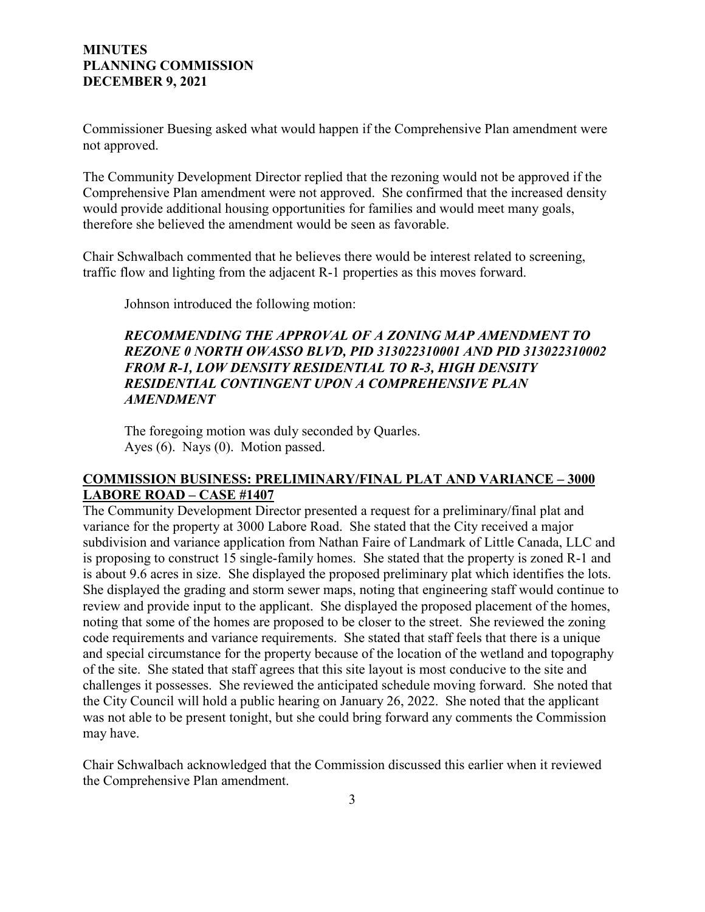#### **MINUTES PLANNING COMMISSION DECEMBER 9, 2021**

Commissioner Buesing asked what would happen if the Comprehensive Plan amendment were not approved.

The Community Development Director replied that the rezoning would not be approved if the Comprehensive Plan amendment were not approved. She confirmed that the increased density would provide additional housing opportunities for families and would meet many goals, therefore she believed the amendment would be seen as favorable.

Chair Schwalbach commented that he believes there would be interest related to screening, traffic flow and lighting from the adjacent R-1 properties as this moves forward.

Johnson introduced the following motion:

## *RECOMMENDING THE APPROVAL OF A ZONING MAP AMENDMENT TO REZONE 0 NORTH OWASSO BLVD, PID 313022310001 AND PID 313022310002 FROM R-1, LOW DENSITY RESIDENTIAL TO R-3, HIGH DENSITY RESIDENTIAL CONTINGENT UPON A COMPREHENSIVE PLAN AMENDMENT*

The foregoing motion was duly seconded by Quarles. Ayes (6). Nays (0). Motion passed.

### **COMMISSION BUSINESS: PRELIMINARY/FINAL PLAT AND VARIANCE – 3000 LABORE ROAD – CASE #1407**

The Community Development Director presented a request for a preliminary/final plat and variance for the property at 3000 Labore Road. She stated that the City received a major subdivision and variance application from Nathan Faire of Landmark of Little Canada, LLC and is proposing to construct 15 single-family homes. She stated that the property is zoned R-1 and is about 9.6 acres in size. She displayed the proposed preliminary plat which identifies the lots. She displayed the grading and storm sewer maps, noting that engineering staff would continue to review and provide input to the applicant. She displayed the proposed placement of the homes, noting that some of the homes are proposed to be closer to the street. She reviewed the zoning code requirements and variance requirements. She stated that staff feels that there is a unique and special circumstance for the property because of the location of the wetland and topography of the site. She stated that staff agrees that this site layout is most conducive to the site and challenges it possesses. She reviewed the anticipated schedule moving forward. She noted that the City Council will hold a public hearing on January 26, 2022. She noted that the applicant was not able to be present tonight, but she could bring forward any comments the Commission may have.

Chair Schwalbach acknowledged that the Commission discussed this earlier when it reviewed the Comprehensive Plan amendment.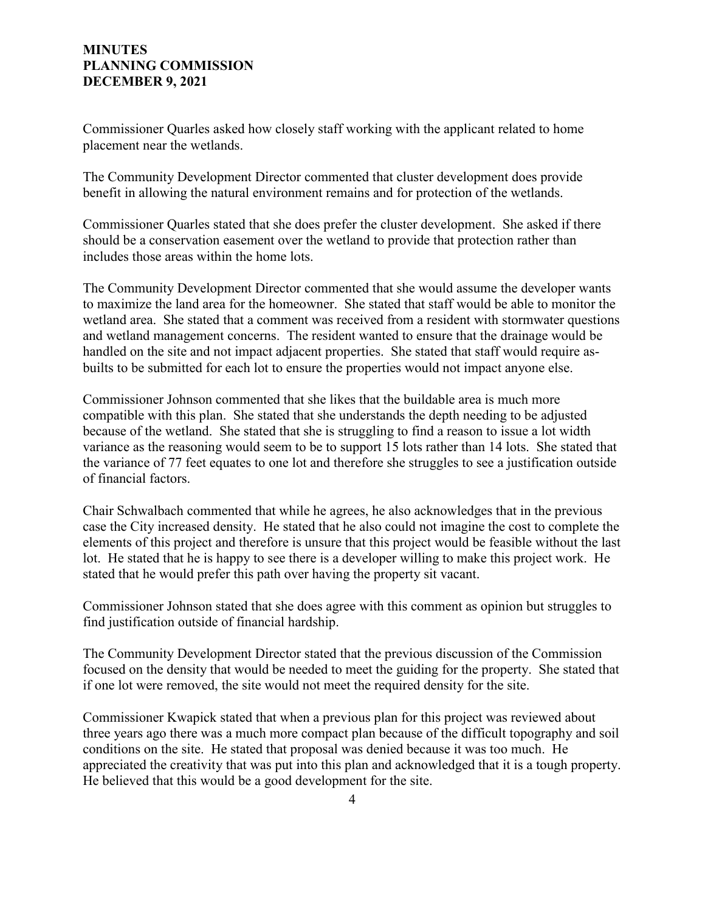#### **MINUTES PLANNING COMMISSION DECEMBER 9, 2021**

Commissioner Quarles asked how closely staff working with the applicant related to home placement near the wetlands.

The Community Development Director commented that cluster development does provide benefit in allowing the natural environment remains and for protection of the wetlands.

Commissioner Quarles stated that she does prefer the cluster development. She asked if there should be a conservation easement over the wetland to provide that protection rather than includes those areas within the home lots.

The Community Development Director commented that she would assume the developer wants to maximize the land area for the homeowner. She stated that staff would be able to monitor the wetland area. She stated that a comment was received from a resident with stormwater questions and wetland management concerns. The resident wanted to ensure that the drainage would be handled on the site and not impact adjacent properties. She stated that staff would require asbuilts to be submitted for each lot to ensure the properties would not impact anyone else.

Commissioner Johnson commented that she likes that the buildable area is much more compatible with this plan. She stated that she understands the depth needing to be adjusted because of the wetland. She stated that she is struggling to find a reason to issue a lot width variance as the reasoning would seem to be to support 15 lots rather than 14 lots. She stated that the variance of 77 feet equates to one lot and therefore she struggles to see a justification outside of financial factors.

Chair Schwalbach commented that while he agrees, he also acknowledges that in the previous case the City increased density. He stated that he also could not imagine the cost to complete the elements of this project and therefore is unsure that this project would be feasible without the last lot. He stated that he is happy to see there is a developer willing to make this project work. He stated that he would prefer this path over having the property sit vacant.

Commissioner Johnson stated that she does agree with this comment as opinion but struggles to find justification outside of financial hardship.

The Community Development Director stated that the previous discussion of the Commission focused on the density that would be needed to meet the guiding for the property. She stated that if one lot were removed, the site would not meet the required density for the site.

Commissioner Kwapick stated that when a previous plan for this project was reviewed about three years ago there was a much more compact plan because of the difficult topography and soil conditions on the site. He stated that proposal was denied because it was too much. He appreciated the creativity that was put into this plan and acknowledged that it is a tough property. He believed that this would be a good development for the site.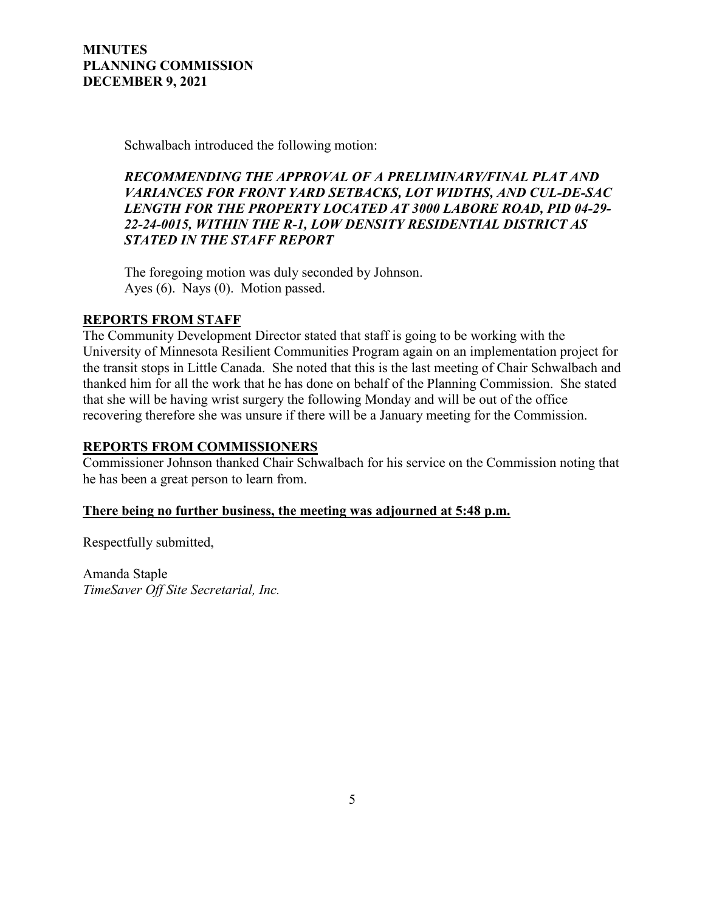Schwalbach introduced the following motion:

# *RECOMMENDING THE APPROVAL OF A PRELIMINARY/FINAL PLAT AND VARIANCES FOR FRONT YARD SETBACKS, LOT WIDTHS, AND CUL-DE-SAC LENGTH FOR THE PROPERTY LOCATED AT 3000 LABORE ROAD, PID 04-29- 22-24-0015, WITHIN THE R-1, LOW DENSITY RESIDENTIAL DISTRICT AS STATED IN THE STAFF REPORT*

The foregoing motion was duly seconded by Johnson. Ayes (6). Nays (0). Motion passed.

### **REPORTS FROM STAFF**

The Community Development Director stated that staff is going to be working with the University of Minnesota Resilient Communities Program again on an implementation project for the transit stops in Little Canada. She noted that this is the last meeting of Chair Schwalbach and thanked him for all the work that he has done on behalf of the Planning Commission. She stated that she will be having wrist surgery the following Monday and will be out of the office recovering therefore she was unsure if there will be a January meeting for the Commission.

### **REPORTS FROM COMMISSIONERS**

Commissioner Johnson thanked Chair Schwalbach for his service on the Commission noting that he has been a great person to learn from.

#### **There being no further business, the meeting was adjourned at 5:48 p.m.**

Respectfully submitted,

Amanda Staple *TimeSaver Off Site Secretarial, Inc.*